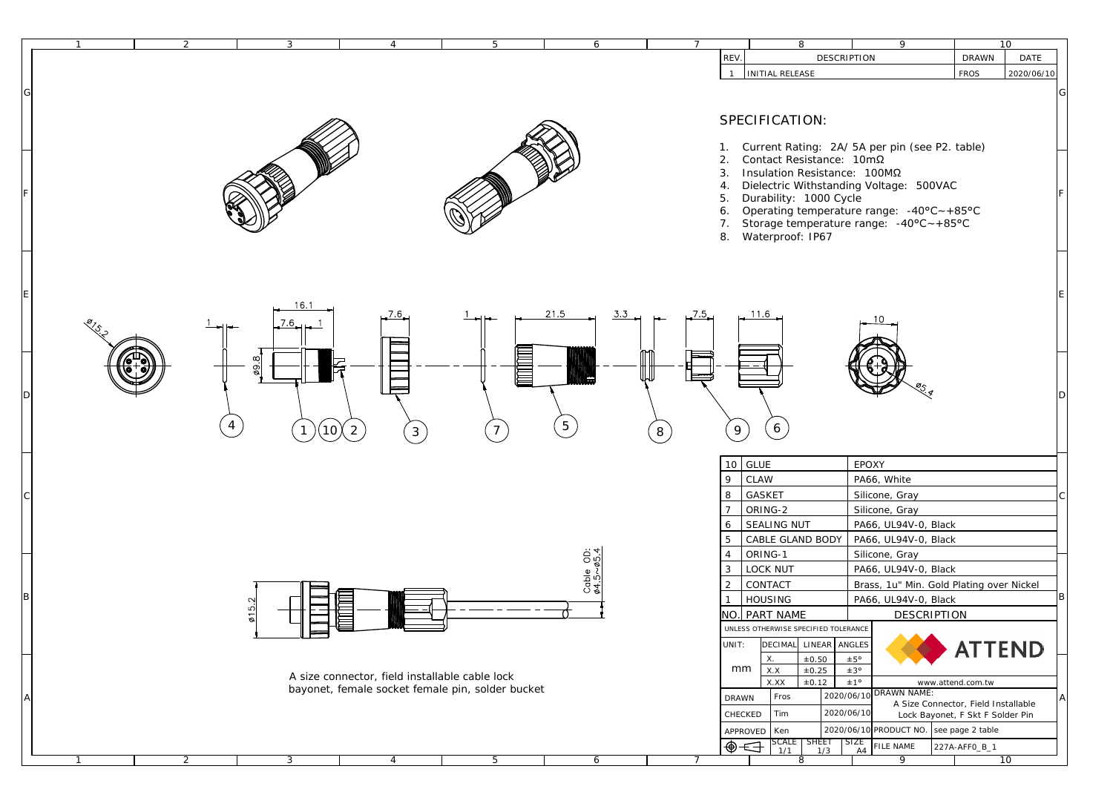| $\mathbf{2}$ | 3                              | $\overline{4}$                                                                                     |                                       | $\overline{7}$ | 8                                                                                                                                                                                                                                                              | 9                                                                                                                                                                  |                                                                        | 10          |
|--------------|--------------------------------|----------------------------------------------------------------------------------------------------|---------------------------------------|----------------|----------------------------------------------------------------------------------------------------------------------------------------------------------------------------------------------------------------------------------------------------------------|--------------------------------------------------------------------------------------------------------------------------------------------------------------------|------------------------------------------------------------------------|-------------|
|              |                                | $5\overline{)}$                                                                                    | 6                                     |                | REV.                                                                                                                                                                                                                                                           | <b>DESCRIPTION</b>                                                                                                                                                 | <b>DRAWN</b>                                                           | <b>DATE</b> |
|              |                                |                                                                                                    |                                       |                | INITIAL RELEASE<br>$\mathbf{1}$                                                                                                                                                                                                                                |                                                                                                                                                                    | <b>FROS</b>                                                            | 2020/06/10  |
|              |                                |                                                                                                    |                                       |                | SPECIFICATION:<br>1. Current Rating: 2A/5A per pin (see P2. table)<br>Contact Resistance: 10mΩ<br>2.<br>Insulation Resistance: 100ΜΩ<br>3.<br>4. Dielectric Withstanding Voltage: 500VAC<br>Durability: 1000 Cycle<br>5.<br>6.<br>7.<br>Waterproof: IP67<br>8. | Operating temperature range: $-40^{\circ}C - +85^{\circ}C$<br>Storage temperature range: $-40^{\circ}$ C $\sim +85^{\circ}$ C                                      |                                                                        |             |
|              | 16.1<br>$\boldsymbol{2}$<br>10 | .7.6<br><b>THE</b><br>$\overline{3}$                                                               | 21.5<br><u>3.3</u><br>$5\phantom{.0}$ | $\bf 8$        | 11.6<br>$\left( 6\right)$<br>$9\,$                                                                                                                                                                                                                             |                                                                                                                                                                    |                                                                        |             |
|              |                                |                                                                                                    |                                       |                | $10$ GLUE<br>$9\,$<br><b>CLAW</b><br>$\bf8$<br><b>GASKET</b><br>$\overline{7}$<br>ORING-2<br>SEALING NUT<br>$6\phantom{.}6$<br>$5\,$<br>CABLE GLAND BODY                                                                                                       | <b>EPOXY</b><br>PA66, White<br>Silicone, Gray<br>Silicone, Gray<br>PA66, UL94V-0, Black<br>PA66, UL94V-0, Black                                                    |                                                                        |             |
|              | $\sim$<br>ம<br>$\overline{5}$  |                                                                                                    | $rac{6}{6}$<br>Cable<br>$64.5 - 9$    |                | $\overline{4}$<br>ORING- $1$<br>$\mathbf{3}$<br>LOCK NUT<br>$\mathbf{2}$<br><b>CONTACT</b><br><b>HOUSING</b><br>$\mathbf{1}$<br>NO. PART NAME<br>UNLESS OTHERWISE SPECIFIED TOLERANCE<br>LINEAR ANGLES<br><b>DECIMAL</b><br>UNIT:                              | Silicone, Gray<br>PA66, UL94V-0, Black<br>Brass, 1u" Min. Gold Plating over Nickel<br>PA66, UL94V-0, Black<br><b>DESCRIPTION</b>                                   | <b>ATTEND</b>                                                          |             |
|              |                                | A size connector, field installable cable lock<br>bayonet, female socket female pin, solder bucket |                                       |                | ±0.50<br>X.<br>mm<br>X.X<br>±0.25<br>X.XX<br>±0.12<br>Fros<br><b>DRAWN</b><br>Tim<br>CHECKED<br>Ken<br><b>APPROVED</b><br>$\begin{array}{c c}\n\text{SCALE} & \text{SHEET} & \text{SIZE} \\ 1/1 & 1/3 & \text{AA}\n\end{array}$<br>⊕←                          | ±5°<br>±3°<br>±1°<br><b>DRAWN NAME:</b><br>2020/06/10<br>A Size Connector, Field Installable<br>2020/06/10<br>2020/06/10 PRODUCT NO. see page 2 table<br>FILE NAME | www.attend.com.tw<br>Lock Bayonet, F Skt F Solder Pin<br>227A-AFF0_B_1 |             |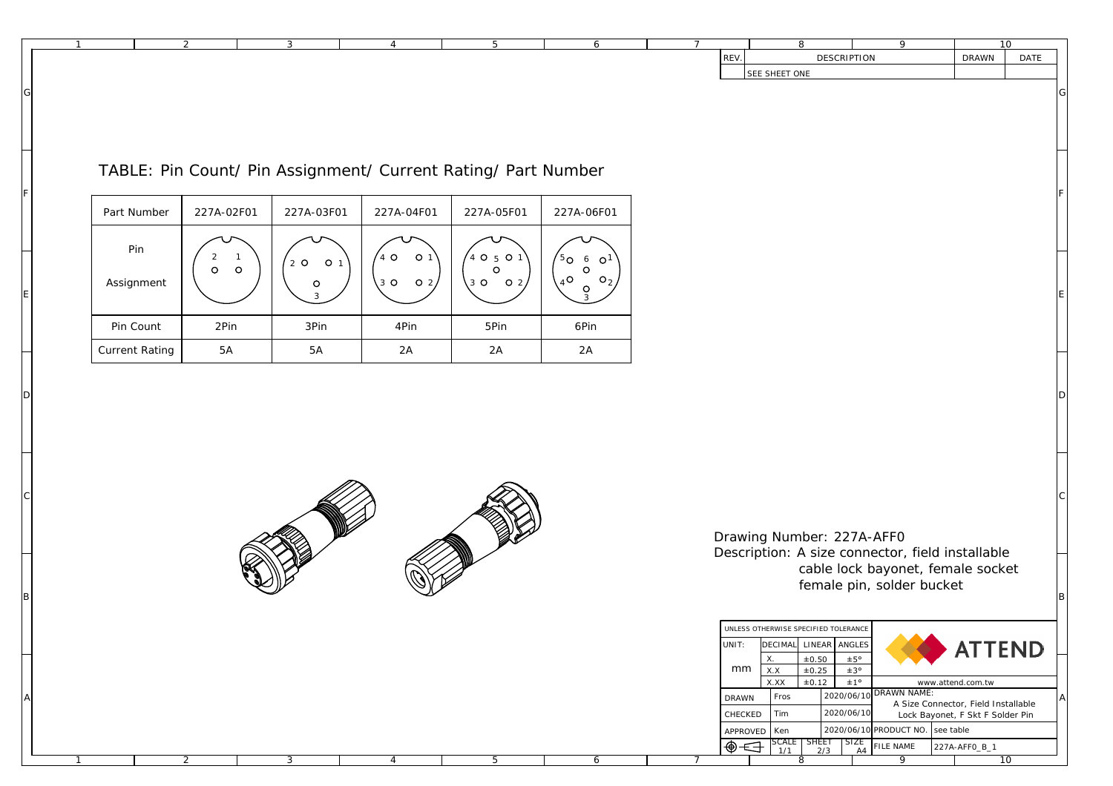|             |                       | $\overline{2}$                                       | 3                                                             | $\overline{4}$              | $5\overline{)}$          | 6                                                   | $7\overline{ }$ |               | 8                                                                                              | $\overline{9}$                                                                                                                                          |                   | 10                       |  |
|-------------|-----------------------|------------------------------------------------------|---------------------------------------------------------------|-----------------------------|--------------------------|-----------------------------------------------------|-----------------|---------------|------------------------------------------------------------------------------------------------|---------------------------------------------------------------------------------------------------------------------------------------------------------|-------------------|--------------------------|--|
| G           |                       |                                                      |                                                               |                             |                          |                                                     |                 | REV.          | <b>DESCRIPTION</b><br><b>SEE SHEET ONE</b>                                                     |                                                                                                                                                         | $\mathbf{DRAWN}$  | $\mathop{\mathrm{DATE}}$ |  |
|             |                       |                                                      |                                                               |                             |                          |                                                     |                 |               |                                                                                                |                                                                                                                                                         |                   |                          |  |
|             |                       |                                                      | TABLE: Pin Count/ Pin Assignment/ Current Rating/ Part Number |                             |                          |                                                     |                 |               |                                                                                                |                                                                                                                                                         |                   |                          |  |
|             | Part Number           | 227A-02F01                                           | 227A-03F01                                                    | 227A-04F01                  | 227A-05F01               | 227A-06F01                                          |                 |               |                                                                                                |                                                                                                                                                         |                   |                          |  |
|             | Pin                   | $\mathbf{2}$<br>$\overline{1}$<br>$\circ$<br>$\circ$ | $2$ O<br>O <sub>1</sub>                                       | $4^\circ$<br>O <sub>1</sub> | $'$ 4 O 5 O 1<br>$\circ$ | $5^{\circ}$<br>$\circ$ <sup>1</sup><br>6<br>$\circ$ |                 |               |                                                                                                |                                                                                                                                                         |                   |                          |  |
| E           | Assignment            |                                                      | $\circ$<br>3                                                  | 3002                        | 30<br>$\overline{O}$ 2   | $4^\circ$<br>$\circ_{2}$<br>$\circ$                 |                 |               |                                                                                                |                                                                                                                                                         |                   |                          |  |
|             | Pin Count             | 2Pin                                                 | 3Pin                                                          | $4\mathrm{Pin}$             | $5\mathrm{Pin}$          | 6Pin                                                |                 |               |                                                                                                |                                                                                                                                                         |                   |                          |  |
|             | <b>Current Rating</b> | 5A                                                   | $5\mathrm{A}$                                                 | $2\mathrm{A}$               | $2\mathrm{A}$            | $2\mathrm{A}$                                       |                 |               |                                                                                                |                                                                                                                                                         |                   |                          |  |
| D           |                       |                                                      |                                                               |                             |                          |                                                     |                 |               |                                                                                                |                                                                                                                                                         |                   |                          |  |
|             |                       |                                                      |                                                               |                             |                          |                                                     |                 |               |                                                                                                |                                                                                                                                                         |                   |                          |  |
| $\mathbf C$ |                       |                                                      |                                                               |                             |                          |                                                     |                 |               |                                                                                                |                                                                                                                                                         |                   |                          |  |
|             |                       |                                                      |                                                               |                             |                          |                                                     |                 |               | Drawing Number: 227A-AFF0<br>Description: A size connector, field installable                  |                                                                                                                                                         |                   |                          |  |
|             |                       |                                                      |                                                               |                             |                          |                                                     |                 |               | cable lock bayonet, female socket<br>female pin, solder bucket                                 |                                                                                                                                                         |                   |                          |  |
| вI          |                       |                                                      |                                                               |                             |                          |                                                     |                 |               | UNLESS OTHERWISE SPECIFIED TOLERANCE                                                           |                                                                                                                                                         |                   |                          |  |
|             |                       |                                                      |                                                               |                             |                          |                                                     |                 | UNIT:<br>mm   | ${\rm LINEAR}$<br><b>DECIMAL</b><br><b>ANGLES</b><br>±0.50<br>±5°<br>X.<br>±0.25<br>X.X<br>±3° |                                                                                                                                                         | <b>ATTEND</b>     |                          |  |
|             |                       |                                                      |                                                               |                             |                          |                                                     |                 | DRAWN         | $\pm 0.12$<br>±1°<br>X.XX<br>2020/06/10 DRAWN NAME:<br>$Fros$<br>2020/06/10                    | A Size Connector, Field Installable                                                                                                                     | www.attend.com.tw |                          |  |
|             |                       |                                                      |                                                               |                             |                          |                                                     |                 | CHECKED<br>⊕← | Tim<br>APPROVED   Ken<br>$\text{SCALE}$ SHEET<br>1/1 2/3                                       | Lock Bayonet, F Skt F Solder Pin<br>$2020/06/10$ PRODUCT NO. see table<br>$\begin{array}{ l }\n\text{SIZE} \\ \hline\n\text{A4}\n\end{array}$ FILE NAME | 227A-AFF0_B_1     |                          |  |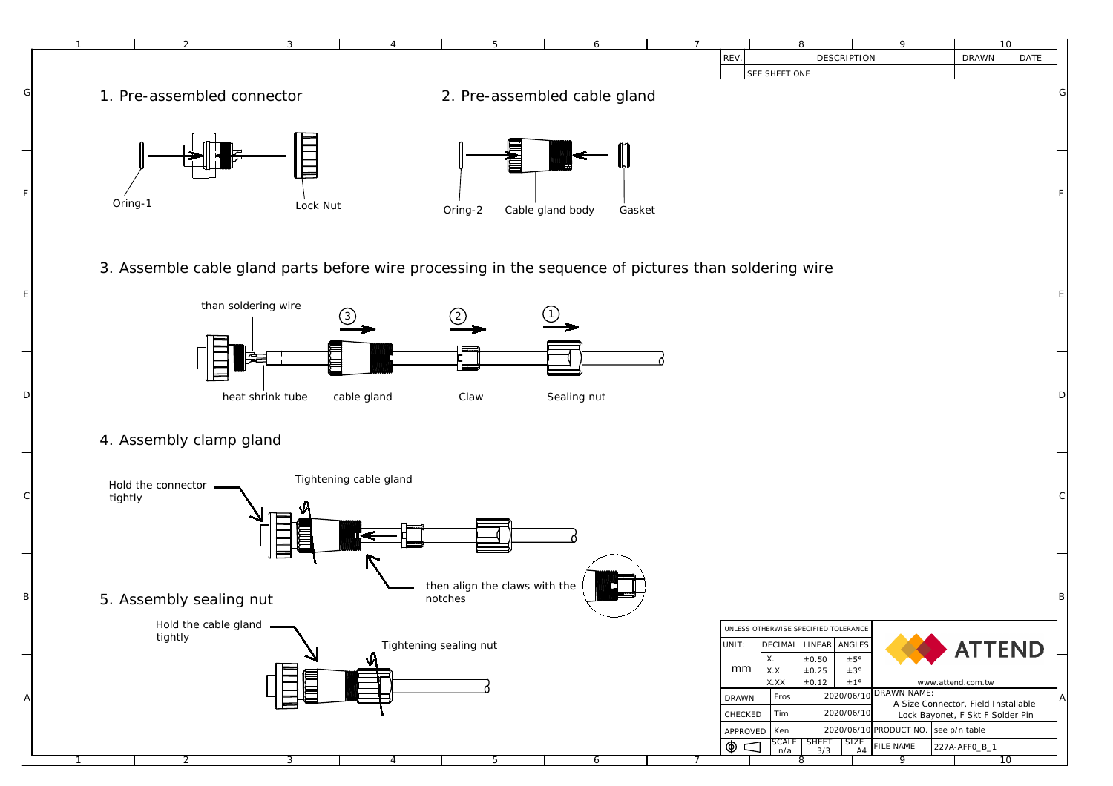